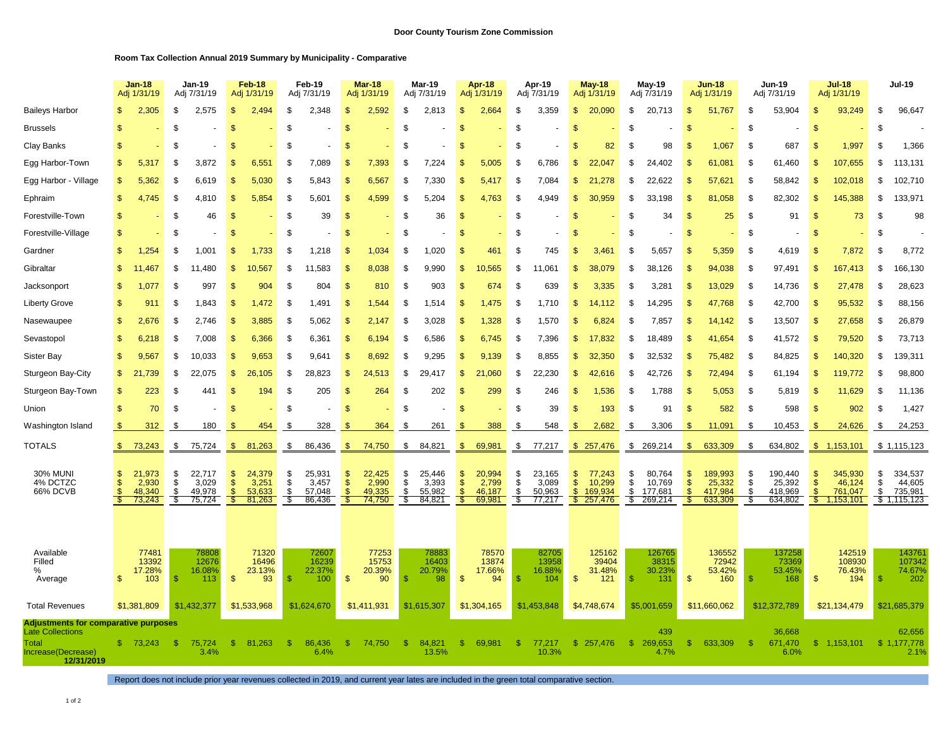## **Room Tax Collection Annual 2019 Summary by Municipality - Comparative**

|                                                                                                                     | <b>Jan-18</b><br>Adj 1/31/19 |                                                | <b>Jan-19</b><br>Adj 7/31/19 |                                                | Feb-18<br>Adj 1/31/19            |                                               | Feb-19<br>Adj 7/31/19 |                                                | <b>Mar-18</b><br>Adj 1/31/19                 |                                               | Mar-19<br>Adj 7/31/19 |                                               | Apr-18<br>Adj 1/31/19          |                                               | Apr-19<br>Adj 7/31/19 |                                                | <b>May-18</b><br>Adj 1/31/19        |                                                 | May-19<br>Adj 7/31/19 |                                                 | <b>Jun-18</b><br>Adj 1/31/19 |                                                  | Jun-19<br>Adj 7/31/19 |                                                  | <b>Jul-18</b><br>Adj 1/31/19               |                                                   | <b>Jul-19</b>              |                                                             |
|---------------------------------------------------------------------------------------------------------------------|------------------------------|------------------------------------------------|------------------------------|------------------------------------------------|----------------------------------|-----------------------------------------------|-----------------------|------------------------------------------------|----------------------------------------------|-----------------------------------------------|-----------------------|-----------------------------------------------|--------------------------------|-----------------------------------------------|-----------------------|------------------------------------------------|-------------------------------------|-------------------------------------------------|-----------------------|-------------------------------------------------|------------------------------|--------------------------------------------------|-----------------------|--------------------------------------------------|--------------------------------------------|---------------------------------------------------|----------------------------|-------------------------------------------------------------|
| <b>Baileys Harbor</b>                                                                                               |                              | 2,305                                          | \$.                          | 2,575                                          | \$.                              | 2.494                                         | \$.                   | 2,348                                          | \$                                           | 2,592                                         | £.                    | 2,813                                         |                                | 2.664                                         | \$.                   | 3,359                                          | \$                                  | 20,090                                          | \$.                   | 20,713                                          | \$.                          | 51.767                                           | - \$                  | 53,904                                           | \$                                         | 93,249                                            | \$                         | 96,647                                                      |
| <b>Brussels</b>                                                                                                     | \$                           |                                                | \$                           |                                                | $\mathbb{S}$                     |                                               | <sup>\$</sup>         |                                                | \$                                           |                                               | £                     |                                               |                                |                                               | \$                    |                                                | \$                                  |                                                 | £.                    |                                                 | $\mathfrak{s}$               |                                                  | <sup>\$</sup>         |                                                  | \$                                         |                                                   | \$                         |                                                             |
| Clay Banks                                                                                                          | £.                           |                                                | - \$                         |                                                | $\mathcal{F}$                    |                                               | \$.                   |                                                | \$                                           |                                               | £.                    |                                               |                                |                                               | S                     |                                                | \$                                  | 82                                              | £.                    | 98                                              | -S                           | 1,067                                            | - \$                  | 687                                              | \$                                         | 1,997                                             | \$                         | 1,366                                                       |
| Egg Harbor-Town                                                                                                     | \$                           | 5,317                                          | \$                           | 3,872                                          | $\mathbb{S}$                     | 6,551                                         | \$                    | 7,089                                          | \$                                           | 7,393                                         | £                     | 7,224                                         | £.                             | 5,005                                         | \$                    | 6,786                                          | \$                                  | 22.047                                          | S                     | 24,402                                          | -S                           | 61,081                                           | \$                    | 61,460                                           | $\mathbf S$                                | 107,655                                           | \$                         | 113,131                                                     |
| Egg Harbor - Village                                                                                                | \$                           | 5,362                                          | - \$                         | 6,619                                          | \$.                              | 5.030                                         | \$.                   | 5,843                                          | \$                                           | 6,567                                         | £.                    | 7,330                                         | \$.                            | 5.                                            | \$.                   | 7,084                                          | \$.                                 | $\overline{2}$<br>,278                          | \$.                   | 22,622                                          | \$.                          | 57,621                                           | \$                    | 58,842                                           | \$                                         | 102,018                                           | \$                         | 102,710                                                     |
| Ephraim                                                                                                             | \$                           | 4,745                                          | \$                           | 4,810                                          | \$                               | 5,854                                         | S                     | 5,601                                          | \$                                           | 4,599                                         | ۹.                    | 5.204                                         | £.                             | 4,763                                         | S                     | 4,949                                          | \$.                                 | 30,959                                          | £.                    | 33,198                                          | $\mathcal{S}$                | 81,058                                           | \$                    | 82,302                                           | $\mathcal{F}$                              | 145,388                                           | S.                         | 133,971                                                     |
| Forestville-Town                                                                                                    | S                            |                                                | \$                           | 46                                             | \$                               |                                               | S                     | 39                                             | -S                                           |                                               | £                     | 36                                            | -SS                            |                                               | S                     |                                                | S                                   |                                                 | \$.                   | 34                                              | \$                           | 25                                               | \$                    | 91                                               | \$                                         | 73                                                | S.                         | 98                                                          |
| Forestville-Village                                                                                                 | \$                           |                                                | \$                           |                                                | S                                |                                               | S                     |                                                | <b>S</b>                                     |                                               | S                     |                                               | -\$                            |                                               | \$                    |                                                | S                                   |                                                 | - \$                  |                                                 | $\mathfrak{s}$               |                                                  | \$                    |                                                  | \$                                         |                                                   | \$                         |                                                             |
| Gardner                                                                                                             | \$                           | 1,254                                          | - \$                         | 1.001                                          | S                                | 1.733                                         | \$.                   | 1,218                                          | \$.                                          | 1.034                                         | £.                    | 1,020                                         |                                | 461                                           | \$                    | 745                                            | <sup>\$</sup>                       | 3,461                                           | \$.                   | 5,657                                           | \$.                          | 5,359                                            | \$                    | 4,619                                            | \$                                         | 7,872                                             | S.                         | 8,772                                                       |
| Gibraltar                                                                                                           | \$                           | 11.467                                         | \$                           | 11,480                                         | $\mathfrak{s}$                   | 10.567                                        | \$                    | 11,583                                         | £.                                           | 8,038                                         | £.                    | 9,990                                         | -SS                            | 565                                           | \$                    | .061<br>11                                     | \$                                  | 38.079                                          | \$                    | 38,126                                          | <b>S</b>                     | 94,038                                           | \$                    | 97,491                                           | £.                                         | 167,413                                           | \$                         | 166,130                                                     |
| Jacksonport                                                                                                         | S                            | 1,077                                          | - \$                         | 997                                            | \$                               | 904                                           | \$.                   | 804                                            | \$                                           | 810                                           | £.                    | 903                                           |                                | 674                                           | \$                    | 639                                            | \$.                                 | 3,335                                           | \$.                   | 3.281                                           | \$.                          | 13,029                                           | \$                    | 14,736                                           | \$                                         | 27,478                                            | \$                         | 28,623                                                      |
| <b>Liberty Grove</b>                                                                                                | \$                           | 911                                            | - 35                         | 1,843                                          | \$                               | .472                                          | Ŝ.                    | 1,491                                          | \$                                           | 1,544                                         | £                     | 1,514                                         | -SS                            | 1,475                                         | \$                    | 1,710                                          | \$                                  | 14,112                                          | - 35                  | 14,295                                          | \$                           | 47,768                                           | \$                    | 42,700                                           | $\mathbf{\$}$                              | 95,532                                            | \$                         | 88,156                                                      |
| Nasewaupee                                                                                                          | \$                           | 2,676                                          | \$                           | 2,746                                          | \$                               | 3.885                                         | \$                    | 5,062                                          | \$                                           | 2.147                                         | £.                    | 3,028                                         | \$                             | 1.328                                         | \$                    | 1,570                                          | \$                                  | 6.824                                           | \$.                   | 7.857                                           | \$.                          | 14.142                                           | -\$                   | 13,507                                           | $\mathfrak{s}$                             | 27,658                                            | \$                         | 26,879                                                      |
| Sevastopol                                                                                                          | \$                           | 6,218                                          | \$                           | 7,008                                          | $\mathfrak{s}$                   | 6,366                                         | \$                    | 6,361                                          | \$                                           | 6,194                                         | £                     | 6,586                                         | \$                             | 6,745                                         | \$                    | 7,396                                          | \$                                  | 17,832                                          | \$                    | 18,489                                          | \$.                          | 41,654                                           | <sup>\$</sup>         | 41,572                                           | \$                                         | 79,520                                            | \$                         | 73,713                                                      |
| Sister Bay                                                                                                          | \$                           | 9,567                                          | \$                           | 10,033                                         | \$.                              | 9,653                                         | \$.                   | 9,641                                          | \$                                           | 8,692                                         | £.                    | 9,295                                         | \$.                            | 9<br>139                                      | \$                    | 8,855                                          | \$                                  | 32.350                                          | \$                    | 32,532                                          | \$.                          | 75,482                                           | -\$                   | 84,825                                           | \$                                         | 140,320                                           | \$                         | 139,311                                                     |
| Sturgeon Bay-City                                                                                                   | \$                           | 21,739                                         | \$                           | 22,075                                         | \$                               | 26,105                                        | \$                    | 28,823                                         | \$                                           | 24,513                                        | - 35                  | 29.417                                        | £.                             | 21,060                                        | \$                    | 22,230                                         | \$                                  | 42,616                                          | S                     | 42,726                                          | -S                           | 72,494                                           | \$                    | 61,194                                           | \$                                         | 119,772                                           | \$                         | 98,800                                                      |
| Sturgeon Bay-Town                                                                                                   | \$                           | 223                                            | \$                           | 441                                            | \$.                              | 194                                           | Ŝ.                    | 205                                            | -S                                           | 264                                           | \$                    | 202                                           | -\$                            | 299                                           | \$                    | 246                                            | S                                   | 1,536                                           | \$                    | 1,788                                           | -S                           | 5,053                                            | - \$                  | 5,819                                            | \$                                         | 11,629                                            | \$                         | 11,136                                                      |
| Union                                                                                                               | \$                           | 70                                             | \$                           |                                                | \$                               |                                               | \$                    |                                                | \$                                           |                                               | \$                    |                                               | \$                             |                                               | \$                    | 39                                             | \$                                  | 193                                             | \$                    | 91                                              | \$                           | 582                                              | \$                    | 598                                              | \$                                         | 902                                               | \$                         | 1,427                                                       |
| Washington Island                                                                                                   |                              | 312                                            | - \$                         | 180                                            |                                  | 454                                           | \$.                   | 328                                            | \$.                                          | 364                                           | £                     | 261                                           |                                | 388                                           | \$                    | 548                                            | -S                                  | 2,682                                           | \$                    | 3,306                                           | \$.                          | 11,091                                           | - \$                  | 10,453                                           | £.                                         | 24,626                                            | \$                         | 24,253                                                      |
| <b>TOTALS</b>                                                                                                       | S.                           | 73,243                                         | \$                           | 75,724                                         | \$                               | 81,263                                        | \$                    | 86,436                                         | -\$                                          | 74,750                                        | \$                    | 84,821                                        | - \$                           | 69,981                                        | -\$                   | 77,217                                         |                                     | \$257,476                                       | \$                    | 269,214                                         | -S                           | 633,309                                          | \$                    | 634,802                                          | $\mathbb{S}$                               | 1,153,101                                         |                            | \$1,115,123                                                 |
| <b>30% MUNI</b><br>4% DCTZC<br>66% DCVB                                                                             | \$<br>S.<br>£.               | 21,973<br>2,930<br>48.340<br>73,243            | \$<br>\$<br>S<br>S           | 22,717<br>3,029<br>49.978<br>75,724            | \$<br>\$<br>$\mathcal{F}$<br>-SS | 24,379<br>3,251<br>53.633<br>81,263           | \$<br>\$<br>\$<br>-\$ | 25,931<br>3,457<br>57.048<br>86,436            | \$<br>$\frac{1}{2}$<br>$\mathcal{S}$<br>- \$ | 22,425<br>2,990<br>49.335<br>74,750           | \$<br>\$<br>\$<br>\$  | 25,446<br>3,393<br>55.982<br>84,821           | S<br>$\mathbf{\$}$<br>ி<br>-\$ | 20,994<br>2,799<br>46.187<br>69,981           | \$<br>\$<br>S.<br>S,  | 23,165<br>3,089<br>50.963<br>77,217            | \$<br>$\mathsf{\$}$<br>$\mathbf{s}$ | 77,243<br>10,299<br>169.934<br>\$257,476        | \$<br>\$<br>S.<br>S.  | 80,764<br>10,769<br>177.681<br>269,214          | \$<br>$\mathfrak{S}$<br>£.   | 189,993<br>25,332<br>417.984<br>633,309          | - \$<br>\$<br>S<br>S  | 190,440<br>25,392<br>418.969<br>634,802          | \$<br>\$<br>$\mathfrak{L}$<br>$\mathbb{S}$ | 345,930<br>46,124<br>761.047<br>1,153,101         | \$<br>\$<br>$\mathfrak{s}$ | 334,537<br>44,605<br>735,981<br>\$1,115,123                 |
| Available<br>Filled<br>%<br>Average<br><b>Total Revenues</b>                                                        | \$                           | 77481<br>13392<br>17.28%<br>103<br>\$1,381,809 | S                            | 78808<br>12676<br>16.08%<br>113<br>\$1,432,377 | $\mathfrak{S}$                   | 71320<br>16496<br>23.13%<br>93<br>\$1,533,968 | -\$                   | 72607<br>16239<br>22.37%<br>100<br>\$1,624,670 | $\mathsf{\$}$                                | 77253<br>15753<br>20.39%<br>90<br>\$1,411,931 | -S                    | 78883<br>16403<br>20.79%<br>98<br>\$1,615,307 | $\mathfrak{s}$                 | 78570<br>13874<br>17.66%<br>94<br>\$1,304,165 | \$                    | 82705<br>13958<br>16.88%<br>104<br>\$1,453,848 | $\mathcal{S}$                       | 125162<br>39404<br>31.48%<br>121<br>\$4,748,674 |                       | 126765<br>38315<br>30.23%<br>131<br>\$5.001.659 | \$                           | 136552<br>72942<br>53.42%<br>160<br>\$11,660,062 | $\mathcal{S}$         | 137258<br>73369<br>53.45%<br>168<br>\$12,372,789 | $\mathfrak{S}$                             | 142519<br>108930<br>76.43%<br>194<br>\$21,134,479 | -\$                        | 14376 $^{\circ}$<br>107342<br>74.67%<br>202<br>\$21,685,379 |
| <b>Adjustments for comparative purposes</b><br><b>Late Collections</b><br>Total<br>Increase(Decrease)<br>12/31/2019 | S.                           | 73.243                                         | -S                           | 75,724<br>3.4%                                 | \$.                              | 81.263                                        | -\$                   | 86,436<br>6.4%                                 | \$                                           | 74.750                                        | S.                    | 84,821<br>13.5%                               | -S                             | 69,981                                        | \$.                   | 77.217<br>10.3%                                | \$                                  | 257.476                                         | -SS                   | 439<br>269,653<br>4.7%                          | -S                           | 633.309                                          | ி                     | 36,668<br>671.470<br>6.0%                        | \$.                                        | 1.153.101                                         | s.                         | 62,656<br>1,177,778<br>2.1%                                 |

Report does not include prior year revenues collected in 2019, and current year lates are included in the green total comparative section.